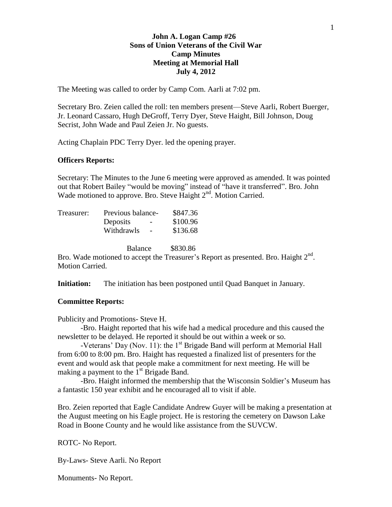### **John A. Logan Camp #26 Sons of Union Veterans of the Civil War Camp Minutes Meeting at Memorial Hall July 4, 2012**

The Meeting was called to order by Camp Com. Aarli at 7:02 pm.

Secretary Bro. Zeien called the roll: ten members present—Steve Aarli, Robert Buerger, Jr. Leonard Cassaro, Hugh DeGroff, Terry Dyer, Steve Haight, Bill Johnson, Doug Secrist, John Wade and Paul Zeien Jr. No guests.

Acting Chaplain PDC Terry Dyer. led the opening prayer.

#### **Officers Reports:**

Secretary: The Minutes to the June 6 meeting were approved as amended. It was pointed out that Robert Bailey "would be moving" instead of "have it transferred". Bro. John Wade motioned to approve. Bro. Steve Haight 2<sup>nd</sup>. Motion Carried.

| Treasurer: | Previous balance-                    | \$847.36 |
|------------|--------------------------------------|----------|
|            | Deposits<br>$\overline{\phantom{0}}$ | \$100.96 |
|            | Withdrawls                           | \$136.68 |
|            |                                      |          |

Balance \$830.86

Bro. Wade motioned to accept the Treasurer's Report as presented. Bro. Haight  $2<sup>nd</sup>$ . Motion Carried.

**Initiation:** The initiation has been postponed until Quad Banquet in January.

#### **Committee Reports:**

Publicity and Promotions- Steve H.

-Bro. Haight reported that his wife had a medical procedure and this caused the newsletter to be delayed. He reported it should be out within a week or so.

-Veterans' Day (Nov. 11): the  $1<sup>st</sup>$  Brigade Band will perform at Memorial Hall from 6:00 to 8:00 pm. Bro. Haight has requested a finalized list of presenters for the event and would ask that people make a commitment for next meeting. He will be making a payment to the  $1<sup>st</sup>$  Brigade Band.

-Bro. Haight informed the membership that the Wisconsin Soldier's Museum has a fantastic 150 year exhibit and he encouraged all to visit if able.

Bro. Zeien reported that Eagle Candidate Andrew Guyer will be making a presentation at the August meeting on his Eagle project. He is restoring the cemetery on Dawson Lake Road in Boone County and he would like assistance from the SUVCW.

ROTC- No Report.

By-Laws- Steve Aarli. No Report

Monuments- No Report.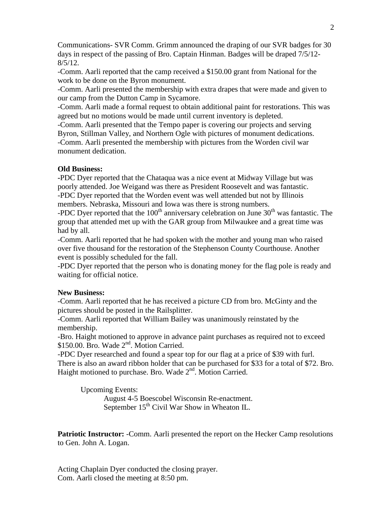Communications- SVR Comm. Grimm announced the draping of our SVR badges for 30 days in respect of the passing of Bro. Captain Hinman. Badges will be draped 7/5/12-  $8/5/12$ .

-Comm. Aarli reported that the camp received a \$150.00 grant from National for the work to be done on the Byron monument.

-Comm. Aarli presented the membership with extra drapes that were made and given to our camp from the Dutton Camp in Sycamore.

-Comm. Aarli made a formal request to obtain additional paint for restorations. This was agreed but no motions would be made until current inventory is depleted.

-Comm. Aarli presented that the Tempo paper is covering our projects and serving Byron, Stillman Valley, and Northern Ogle with pictures of monument dedications.

-Comm. Aarli presented the membership with pictures from the Worden civil war monument dedication.

## **Old Business:**

**-**PDC Dyer reported that the Chataqua was a nice event at Midway Village but was poorly attended. Joe Weigand was there as President Roosevelt and was fantastic. -PDC Dyer reported that the Worden event was well attended but not by Illinois members. Nebraska, Missouri and Iowa was there is strong numbers.

-PDC Dyer reported that the  $100<sup>th</sup>$  anniversary celebration on June  $30<sup>th</sup>$  was fantastic. The group that attended met up with the GAR group from Milwaukee and a great time was had by all.

-Comm. Aarli reported that he had spoken with the mother and young man who raised over five thousand for the restoration of the Stephenson County Courthouse. Another event is possibly scheduled for the fall.

-PDC Dyer reported that the person who is donating money for the flag pole is ready and waiting for official notice.

# **New Business:**

-Comm. Aarli reported that he has received a picture CD from bro. McGinty and the pictures should be posted in the Railsplitter.

-Comm. Aarli reported that William Bailey was unanimously reinstated by the membership.

-Bro. Haight motioned to approve in advance paint purchases as required not to exceed \$150.00. Bro. Wade 2<sup>nd</sup>. Motion Carried.

-PDC Dyer researched and found a spear top for our flag at a price of \$39 with furl. There is also an award ribbon holder that can be purchased for \$33 for a total of \$72. Bro. Haight motioned to purchase. Bro. Wade 2<sup>nd</sup>. Motion Carried.

Upcoming Events: August 4-5 Boescobel Wisconsin Re-enactment. September  $15<sup>th</sup>$  Civil War Show in Wheaton IL.

**Patriotic Instructor:** -Comm. Aarli presented the report on the Hecker Camp resolutions to Gen. John A. Logan.

Acting Chaplain Dyer conducted the closing prayer. Com. Aarli closed the meeting at 8:50 pm.